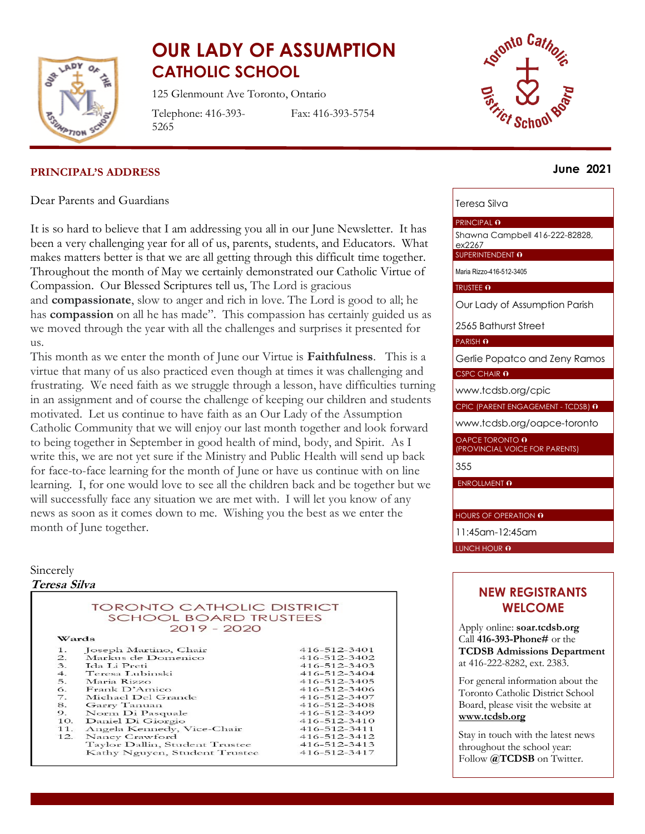

# **OUR LADY OF ASSUMPTION CATHOLIC SCHOOL**

125 Glenmount Ave Toronto, Ontario

Telephone: 416-393- 5265

Fax: 416-393-5754



#### **June 2021**

#### **PRINCIPAL'S ADDRESS**

Dear Parents and Guardians

It is so hard to believe that I am addressing you all in our June Newsletter. It has been a very challenging year for all of us, parents, students, and Educators. What makes matters better is that we are all getting through this difficult time together. Throughout the month of May we certainly demonstrated our Catholic Virtue of Compassion. Our Blessed Scriptures tell us, The Lord is gracious

and **compassionate**, slow to anger and rich in love. The Lord is good to all; he has **compassion** on all he has made". This compassion has certainly guided us as we moved through the year with all the challenges and surprises it presented for us.

This month as we enter the month of June our Virtue is **Faithfulness**. This is a virtue that many of us also practiced even though at times it was challenging and frustrating. We need faith as we struggle through a lesson, have difficulties turning in an assignment and of course the challenge of keeping our children and students motivated. Let us continue to have faith as an Our Lady of the Assumption Catholic Community that we will enjoy our last month together and look forward to being together in September in good health of mind, body, and Spirit. As I write this, we are not yet sure if the Ministry and Public Health will send up back for face-to-face learning for the month of June or have us continue with on line learning. I, for one would love to see all the children back and be together but we will successfully face any situation we are met with. I will let you know of any news as soon as it comes down to me. Wishing you the best as we enter the month of June together.

#### Sincerely **Teresa Silva**

**TORONTO CATHOLIC DISTRICT SCHOOL BOARD TRUSTEES**  $2019 - 2020$ Wards 416-512-3401  $1.$ Joseph Martino, Chair 416-512-3402  $\overline{2}$ . Markus de Domenico  $\overline{3}$ . Ida Li Preti  $416 - 512 - 3403$ 416-512-3404  $\overline{4}$ . Teresa Lubinski Maria Rizzo 5. 416-512-3405  $\frac{6}{7}$ . Frank D'Amico 416-512-3406 416-512-3407 Michael Del Grande Garry Tanuan 416-512-3408 Norm Di Pasquale 416-512-3409 9. Daniel Di Giorgio 416-512-3410 10. 416-512-3411  $11.$ Angela Kennedy, Vice-Chair  $12.$ Nancy Crawford 416-512-3412 416-512-3413 Taylor Dallin, Student Trustee 416-512-3417 Kathy Nguyen, Student Trustee

### Teresa Silva

#### PRINCIPAL **O**

Shawna Campbell 416-222-82828, ex2267

SUPERINTENDENT O

Maria Rizzo-416-512-3405

TRUSTEE O

Our Lady of Assumption Parish

2565 Bathurst Street

#### PARISH O

Gerlie Popatco and Zeny Ramos

CSPC CHAIR 0

[www.tcdsb.org/cpic](http://www.tcdsb.org/cpic)

CPIC (PARENT ENGAGEMENT - TCDSB) 0

[www.tcdsb.org/oapce-toronto](http://www.tcdsb.org/oapce-toronto)

OAPCE TORONTO 0 (PROVINCIAL VOICE FOR PARENTS)

355

ENROLLMENT O

HOURS OF OPERATION **O** 

11:45am-12:45am

LUNCH HOUR 0

#### **NEW REGISTRANTS WELCOME**

Apply online: **soar.tcdsb.org** Call **416-393-Phone#** or the **TCDSB Admissions Department** at 416-222-8282, ext. 2383.

For general information about the Toronto Catholic District School Board, please visit the website at **[www.tcdsb.org](http://www.tcdsb.org/)**

Stay in touch with the latest news throughout the school year: Follow **@TCDSB** on Twitter.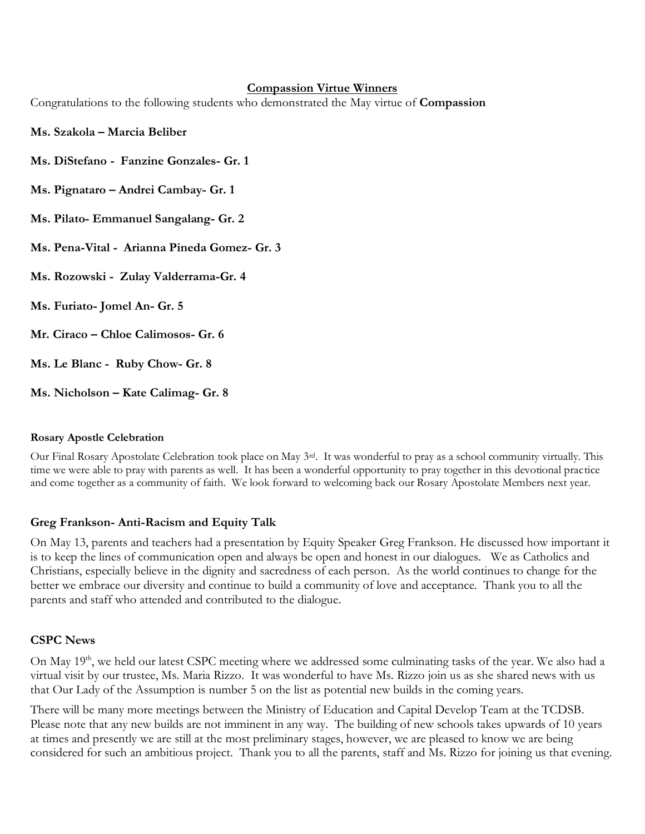#### **Compassion Virtue Winners**

Congratulations to the following students who demonstrated the May virtue of **Compassion**

- **Ms. Szakola – Marcia Beliber**
- **Ms. DiStefano - Fanzine Gonzales- Gr. 1**
- **Ms. Pignataro – Andrei Cambay- Gr. 1**
- **Ms. Pilato- Emmanuel Sangalang- Gr. 2**
- **Ms. Pena-Vital Arianna Pineda Gomez- Gr. 3**
- **Ms. Rozowski Zulay Valderrama-Gr. 4**
- **Ms. Furiato- Jomel An- Gr. 5**
- **Mr. Ciraco – Chloe Calimosos- Gr. 6**
- **Ms. Le Blanc Ruby Chow- Gr. 8**
- **Ms. Nicholson – Kate Calimag- Gr. 8**

#### **Rosary Apostle Celebration**

Our Final Rosary Apostolate Celebration took place on May 3rd. It was wonderful to pray as a school community virtually. This time we were able to pray with parents as well. It has been a wonderful opportunity to pray together in this devotional practice and come together as a community of faith. We look forward to welcoming back our Rosary Apostolate Members next year.

#### **Greg Frankson- Anti-Racism and Equity Talk**

On May 13, parents and teachers had a presentation by Equity Speaker Greg Frankson. He discussed how important it is to keep the lines of communication open and always be open and honest in our dialogues. We as Catholics and Christians, especially believe in the dignity and sacredness of each person. As the world continues to change for the better we embrace our diversity and continue to build a community of love and acceptance. Thank you to all the parents and staff who attended and contributed to the dialogue.

#### **CSPC News**

On May 19<sup>th</sup>, we held our latest CSPC meeting where we addressed some culminating tasks of the year. We also had a virtual visit by our trustee, Ms. Maria Rizzo. It was wonderful to have Ms. Rizzo join us as she shared news with us that Our Lady of the Assumption is number 5 on the list as potential new builds in the coming years.

There will be many more meetings between the Ministry of Education and Capital Develop Team at the TCDSB. Please note that any new builds are not imminent in any way. The building of new schools takes upwards of 10 years at times and presently we are still at the most preliminary stages, however, we are pleased to know we are being considered for such an ambitious project. Thank you to all the parents, staff and Ms. Rizzo for joining us that evening.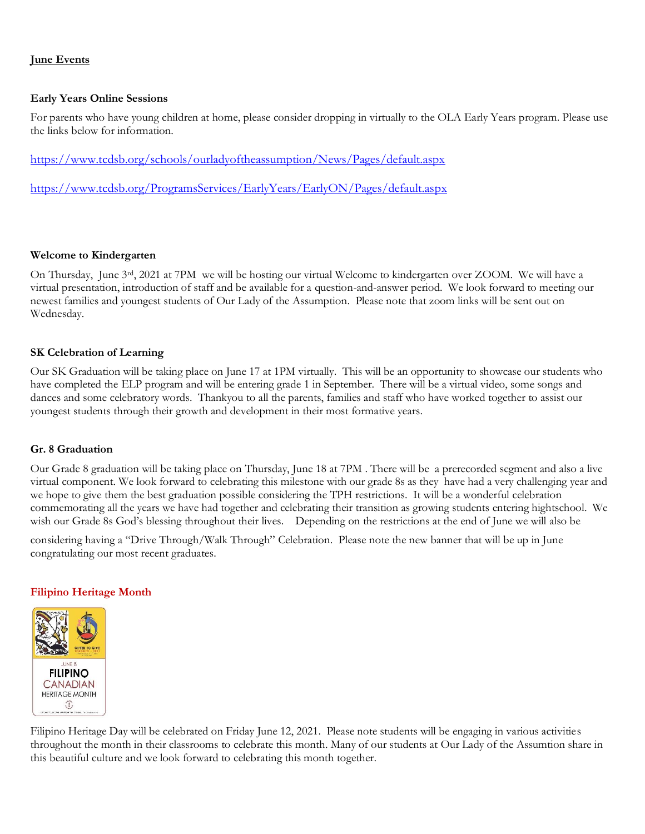#### **June Events**

#### **Early Years Online Sessions**

For parents who have young children at home, please consider dropping in virtually to the OLA Early Years program. Please use the links below for information.

<https://www.tcdsb.org/schools/ourladyoftheassumption/News/Pages/default.aspx>

<https://www.tcdsb.org/ProgramsServices/EarlyYears/EarlyON/Pages/default.aspx>

#### **Welcome to Kindergarten**

On Thursday, June 3rd, 2021 at 7PM we will be hosting our virtual Welcome to kindergarten over ZOOM. We will have a virtual presentation, introduction of staff and be available for a question-and-answer period. We look forward to meeting our newest families and youngest students of Our Lady of the Assumption. Please note that zoom links will be sent out on Wednesday.

#### **SK Celebration of Learning**

Our SK Graduation will be taking place on June 17 at 1PM virtually. This will be an opportunity to showcase our students who have completed the ELP program and will be entering grade 1 in September. There will be a virtual video, some songs and dances and some celebratory words. Thankyou to all the parents, families and staff who have worked together to assist our youngest students through their growth and development in their most formative years.

#### **Gr. 8 Graduation**

Our Grade 8 graduation will be taking place on Thursday, June 18 at 7PM . There will be a prerecorded segment and also a live virtual component. We look forward to celebrating this milestone with our grade 8s as they have had a very challenging year and we hope to give them the best graduation possible considering the TPH restrictions. It will be a wonderful celebration commemorating all the years we have had together and celebrating their transition as growing students entering hightschool. We wish our Grade 8s God's blessing throughout their lives. Depending on the restrictions at the end of June we will also be

considering having a "Drive Through/Walk Through" Celebration. Please note the new banner that will be up in June congratulating our most recent graduates.

#### **Filipino Heritage Month**



Filipino Heritage Day will be celebrated on Friday June 12, 2021. Please note students will be engaging in various activities throughout the month in their classrooms to celebrate this month. Many of our students at Our Lady of the Assumtion share in this beautiful culture and we look forward to celebrating this month together.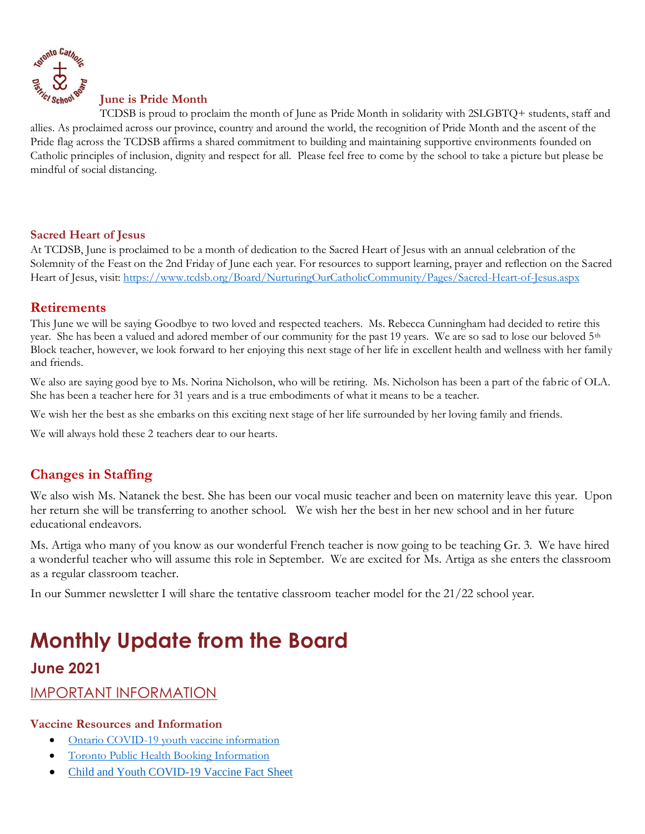

#### **June is Pride Month**

TCDSB is proud to proclaim the month of June as Pride Month in solidarity with 2SLGBTQ+ students, staff and allies. As proclaimed across our province, country and around the world, the recognition of Pride Month and the ascent of the Pride flag across the TCDSB affirms a shared commitment to building and maintaining supportive environments founded on Catholic principles of inclusion, dignity and respect for all. Please feel free to come by the school to take a picture but please be mindful of social distancing.

#### **Sacred Heart of Jesus**

At TCDSB, June is proclaimed to be a month of dedication to the Sacred Heart of Jesus with an annual celebration of the Solemnity of the Feast on the 2nd Friday of June each year. For resources to support learning, prayer and reflection on the Sacred Heart of Jesus, visit:<https://www.tcdsb.org/Board/NurturingOurCatholicCommunity/Pages/Sacred-Heart-of-Jesus.aspx>

### **Retirements**

This June we will be saying Goodbye to two loved and respected teachers. Ms. Rebecca Cunningham had decided to retire this year. She has been a valued and adored member of our community for the past 19 years. We are so sad to lose our beloved  $5<sup>th</sup>$ Block teacher, however, we look forward to her enjoying this next stage of her life in excellent health and wellness with her family and friends.

We also are saying good bye to Ms. Norina Nicholson, who will be retiring. Ms. Nicholson has been a part of the fabric of OLA. She has been a teacher here for 31 years and is a true embodiments of what it means to be a teacher.

We wish her the best as she embarks on this exciting next stage of her life surrounded by her loving family and friends.

We will always hold these 2 teachers dear to our hearts.

### **Changes in Staffing**

We also wish Ms. Natanek the best. She has been our vocal music teacher and been on maternity leave this year. Upon her return she will be transferring to another school. We wish her the best in her new school and in her future educational endeavors.

Ms. Artiga who many of you know as our wonderful French teacher is now going to be teaching Gr. 3. We have hired a wonderful teacher who will assume this role in September. We are excited for Ms. Artiga as she enters the classroom as a regular classroom teacher.

In our Summer newsletter I will share the tentative classroom teacher model for the 21/22 school year.

# **Monthly Update from the Board**

### **June 2021**

IMPORTANT INFORMATION

#### **Vaccine Resources and Information**

- [Ontario COVID-19 youth vaccine information](https://covid-19.ontario.ca/covid-19-vaccines-youth)
- [Toronto Public Health Booking Information](https://www.tcdsb.org/FORSTUDENTS/back-to-school/Documents/tph-letter-may-2021.pdf)
- [Child and Youth COVID-19 Vaccine Fact Sheet](https://files.ontario.ca/edu-child-and-youth-covid19-vaccine-fact-sheet-en-2021-05-26.pdf)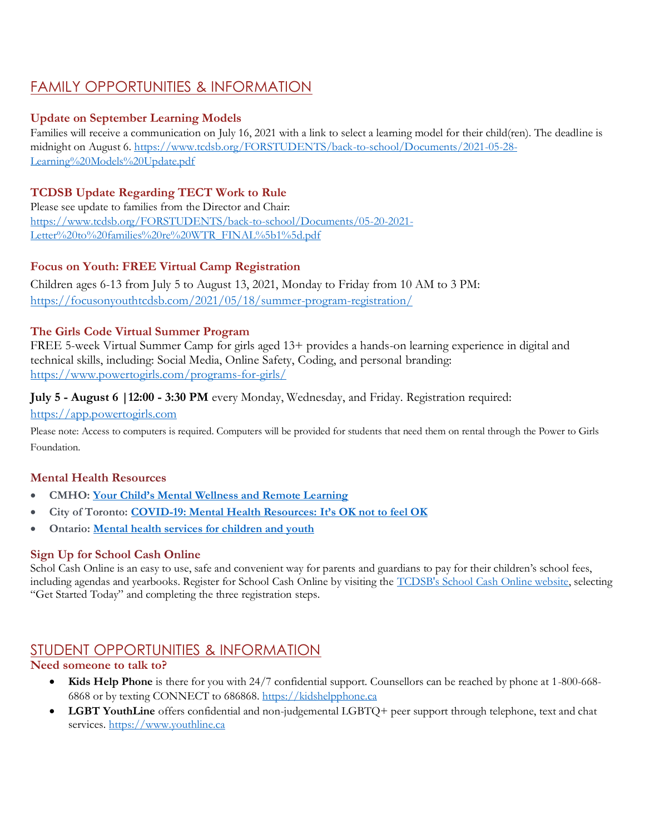# FAMILY OPPORTUNITIES & INFORMATION

### **Update on September Learning Models**

Families will receive a communication on July 16, 2021 with a link to select a learning model for their child(ren). The deadline is midnight on August 6. [https://www.tcdsb.org/FORSTUDENTS/back-to-school/Documents/2021-05-28-](https://www.tcdsb.org/FORSTUDENTS/back-to-school/Documents/2021-05-28-Learning%20Models%20Update.pdf) [Learning%20Models%20Update.pdf](https://www.tcdsb.org/FORSTUDENTS/back-to-school/Documents/2021-05-28-Learning%20Models%20Update.pdf)

### **TCDSB Update Regarding TECT Work to Rule**

Please see update to families from the Director and Chair: [https://www.tcdsb.org/FORSTUDENTS/back-to-school/Documents/05-20-2021-](https://www.tcdsb.org/FORSTUDENTS/back-to-school/Documents/05-20-2021-Letter%20to%20families%20re%20WTR_FINAL%5b1%5d.pdf) [Letter%20to%20families%20re%20WTR\\_FINAL%5b1%5d.pdf](https://www.tcdsb.org/FORSTUDENTS/back-to-school/Documents/05-20-2021-Letter%20to%20families%20re%20WTR_FINAL%5b1%5d.pdf)

### **Focus on Youth: FREE Virtual Camp Registration**

Children ages 6-13 from July 5 to August 13, 2021, Monday to Friday from 10 AM to 3 PM: <https://focusonyouthtcdsb.com/2021/05/18/summer-program-registration/>

### **The Girls Code Virtual Summer Program**

FREE 5-week Virtual Summer Camp for girls aged 13+ provides a hands-on learning experience in digital and technical skills, including: Social Media, Online Safety, Coding, and personal branding: <https://www.powertogirls.com/programs-for-girls/>

### **July 5 - August 6 |12:00 - 3:30 PM** every Monday, Wednesday, and Friday. Registration required:

#### [https://app.powertogirls.com](https://app.powertogirls.com/)

Please note: Access to computers is required. Computers will be provided for students that need them on rental through the Power to Girls Foundation.

### **Mental Health Resources**

- **CMHO: [Your Child's Mental Wellness and Remote Learning](https://t.e2ma.net/click/xik85c/pkw0ine/hy1jpu)**
- **City of Toronto: [COVID-19: Mental Health Resources:](https://t.e2ma.net/click/xik85c/pkw0ine/xq2jpu) [It's OK not to feel OK](https://t.e2ma.net/click/xik85c/pkw0ine/dj3jpu)**
- **Ontario: [Mental health services for children and youth](https://t.e2ma.net/click/xik85c/pkw0ine/tb4jpu)**

### **Sign Up for School Cash Online**

Schol Cash Online is an easy to use, safe and convenient way for parents and guardians to pay for their children's school fees, including agendas and yearbooks. Register for School Cash Online by visiting the [TCDSB's School Cash Online website,](https://tcdsb.schoolcashonline.com/) selecting "Get Started Today" and completing the three registration steps.

## STUDENT OPPORTUNITIES & INFORMATION

### **Need someone to talk to?**

- **Kids Help Phone** is there for you with 24/7 confidential support. Counsellors can be reached by phone at 1-800-668- 6868 or by texting CONNECT to 686868. [https://kidshelpphone.ca](https://kidshelpphone.ca/)
- **LGBT YouthLine** offers confidential and non-judgemental LGBTQ+ peer support through telephone, text and chat services. [https://www.youthline.ca](https://www.youthline.ca/)